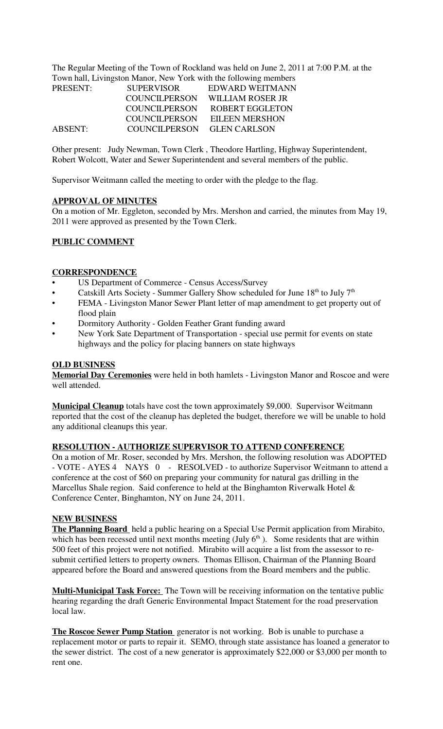The Regular Meeting of the Town of Rockland was held on June 2, 2011 at 7:00 P.M. at the Town hall, Livingston Manor, New York with the following members

| <b>PRESENT:</b> | <b>SUPERVISOR</b>          | EDWARD WEITMANN       |
|-----------------|----------------------------|-----------------------|
|                 | COUNCILPERSON              | WILLIAM ROSER JR      |
|                 | COUNCILPERSON              | ROBERT EGGLETON       |
|                 | COUNCILPERSON              | <b>EILEEN MERSHON</b> |
| ABSENT:         | COUNCILPERSON GLEN CARLSON |                       |

Other present: Judy Newman, Town Clerk , Theodore Hartling, Highway Superintendent, Robert Wolcott, Water and Sewer Superintendent and several members of the public.

Supervisor Weitmann called the meeting to order with the pledge to the flag.

### **APPROVAL OF MINUTES**

On a motion of Mr. Eggleton, seconded by Mrs. Mershon and carried, the minutes from May 19, 2011 were approved as presented by the Town Clerk.

### **PUBLIC COMMENT**

#### **CORRESPONDENCE**

- US Department of Commerce Census Access/Survey
- Catskill Arts Society Summer Gallery Show scheduled for June  $18<sup>th</sup>$  to July  $7<sup>th</sup>$
- FEMA Livingston Manor Sewer Plant letter of map amendment to get property out of flood plain
- Dormitory Authority Golden Feather Grant funding award
- New York Sate Department of Transportation special use permit for events on state highways and the policy for placing banners on state highways

## **OLD BUSINESS**

**Memorial Day Ceremonies** were held in both hamlets - Livingston Manor and Roscoe and were well attended.

**Municipal Cleanup** totals have cost the town approximately \$9,000. Supervisor Weitmann reported that the cost of the cleanup has depleted the budget, therefore we will be unable to hold any additional cleanups this year.

### **RESOLUTION - AUTHORIZE SUPERVISOR TO ATTEND CONFERENCE**

On a motion of Mr. Roser, seconded by Mrs. Mershon, the following resolution was ADOPTED - VOTE - AYES 4 NAYS 0 - RESOLVED - to authorize Supervisor Weitmann to attend a conference at the cost of \$60 on preparing your community for natural gas drilling in the Marcellus Shale region. Said conference to held at the Binghamton Riverwalk Hotel & Conference Center, Binghamton, NY on June 24, 2011.

## **NEW BUSINESS**

**The Planning Board** held a public hearing on a Special Use Permit application from Mirabito, which has been recessed until next months meeting (July  $6<sup>th</sup>$ ). Some residents that are within 500 feet of this project were not notified. Mirabito will acquire a list from the assessor to resubmit certified letters to property owners. Thomas Ellison, Chairman of the Planning Board appeared before the Board and answered questions from the Board members and the public.

**Multi-Municipal Task Force:** The Town will be receiving information on the tentative public hearing regarding the draft Generic Environmental Impact Statement for the road preservation local law.

**The Roscoe Sewer Pump Station** generator is not working. Bob is unable to purchase a replacement motor or parts to repair it. SEMO, through state assistance has loaned a generator to the sewer district. The cost of a new generator is approximately \$22,000 or \$3,000 per month to rent one.